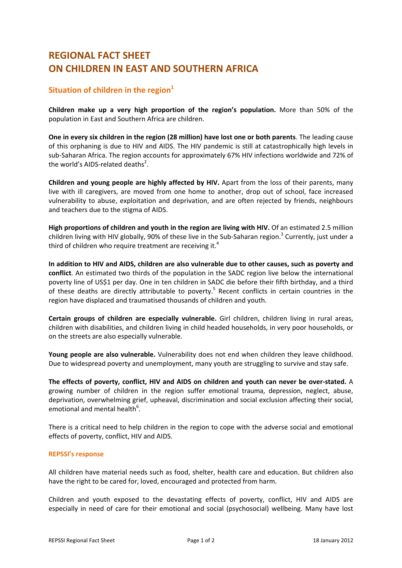## **REGIONAL FACT SHEET ON CHILDREN IN EAST AND SOUTHERN AFRICA**

## **Situation of children in the region**<sup>1</sup>

**Children make up a very high proportion of the region's population.** More than 50% of the population in East and Southern Africa are children.

**One in every six children in the region (28 million) have lost one or both parents**. The leading cause of this orphaning is due to HIV and AIDS. The HIV pandemic is still at catastrophically high levels in sub‐Saharan Africa. The region accounts for approximately 67% HIV infections worldwide and 72% of the world's AIDS-related deaths<sup>2</sup>.

**Children and young people are highly affected by HIV.** Apart from the loss of their parents, many live with ill caregivers, are moved from one home to another, drop out of school, face increased vulnerability to abuse, exploitation and deprivation, and are often rejected by friends, neighbours and teachers due to the stigma of AIDS.

**High proportions of children and youth in the region are living with HIV.** Of an estimated 2.5 million children living with HIV globally, 90% of these live in the Sub-Saharan region.<sup>3</sup> Currently, just under a third of children who require treatment are receiving it.<sup>4</sup>

**In addition to HIV and AIDS, children are also vulnerable due to other causes, such as poverty and conflict**. An estimated two thirds of the population in the SADC region live below the international poverty line of US\$1 per day. One in ten children in SADC die before their fifth birthday, and a third of these deaths are directly attributable to poverty.<sup>5</sup> Recent conflicts in certain countries in the region have displaced and traumatised thousands of children and youth.

**Certain groups of children are especially vulnerable.** Girl children, children living in rural areas, children with disabilities, and children living in child headed households, in very poor households, or on the streets are also especially vulnerable.

**Young people are also vulnerable.** Vulnerability does not end when children they leave childhood. Due to widespread poverty and unemployment, many youth are struggling to survive and stay safe.

**The effects of poverty, conflict, HIV and AIDS on children and youth can never be over‐stated.** A growing number of children in the region suffer emotional trauma, depression, neglect, abuse, deprivation, overwhelming grief, upheaval, discrimination and social exclusion affecting their social, emotional and mental health<sup>6</sup>.

There is a critical need to help children in the region to cope with the adverse social and emotional effects of poverty, conflict, HIV and AIDS.

## **REPSSI's response**

All children have material needs such as food, shelter, health care and education. But children also have the right to be cared for, loved, encouraged and protected from harm.

Children and youth exposed to the devastating effects of poverty, conflict, HIV and AIDS are especially in need of care for their emotional and social (psychosocial) wellbeing. Many have lost